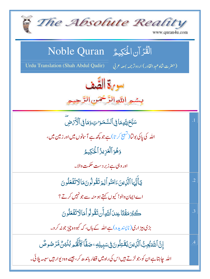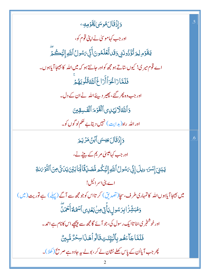| <b>وَإِذْقَالَ هُوسَىٰ لِقَوْمِهِ</b> ے                                                                   | $\overline{.5}$ |
|-----------------------------------------------------------------------------------------------------------|-----------------|
| اور جب کہاموسیٰ نے اپنی قوم کو،                                                                           |                 |
| يَقَوْمِ لِمَرْتُؤُدُونَنِى وَقَد تَّعَلَمُونَ أَنِّى بَسُولُ أَللَّهِ إِلَيَّكُمَّ                       |                 |
| اے قوم میر کی! کیوں ساتے ہو مجھ کواور جانتے ہو کہ میں اللہ کا بھیجا آیاہوں۔                               |                 |
| فَلَمَّارَاغُوَٱأَرَاغَ ٱللَّهُ قُلُوبَهُمَّ                                                              |                 |
| اور جب وہ پھر گئے، پھیر دیئے اللہ نے ان کے دل۔                                                            |                 |
| وَٱللَّهُلَايَهُدِى ٱلْقَوْمَ ٱلْقَسِقِينَ                                                                |                 |
| اور الله راه( ہدایت) نہیں دیتابے حکم لو گوں کو۔                                                           |                 |
| <u>وَإِذْقَالَ عِي</u> سَى ٱبۡنُ مَرۡ يَـمَ                                                               | .6              |
| اور جب کہا <sup>عیس</sup> یٰ مریم کے بیٹے نے،                                                             |                 |
| يَبَدِيَ إِسَّرَ ءِيلَ إِنِّي مَسْولُ ٱللَّهِ إِلَيْكُم مُّصَلِّقًا لِّمَا بَيْنَ يَدَى صَّ التَّوۡمَ لقِ |                 |
| اے بنی اسر ائیل!                                                                                          |                 |
| میں بھیجا آیاہوں اللہ کا تمہاری طرف،سچا( تصدیق) کر تااس کوجو مجھ سے آگے (پہلے ) ہے توریت (میں )           |                 |
| <sub>ۘ</sub><br>وَهُبَشِّزَٰ ابِرَسُولٍ يَأۡنِّ مِنۡ بَعۡلِى ٱسۡمُـُٱٓ ۚ ٱَحۡمَلَّ                        |                 |
| اور خوشنجری سُنا تاایک ر سول کی، جو آئے گامچھ سے پیچھے اس کانام ہے احمہ۔                                  |                 |
| فَلَمَّا جَآءَهُمْ بِٱلْبَيِّدَتِ قَالُواً هَذَا سِحَرٌ مُّبِينٌ                                          |                 |
| پھر جب آیااُن کے پاس کھلے نشان لے کر، بولے یہ جادوہے صریح(کھلا)۔                                          |                 |
|                                                                                                           |                 |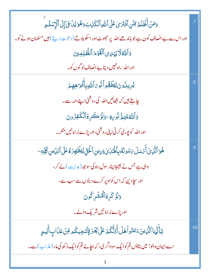| وَمَنۡ أَظۡلَمُ لِمَّنِ ٱفۡتَرَىٰ عَلَى ٱللَّهِ ٱلۡكَٰزِبَ وَهُوَ يُدۡ عَیۡ إِلَى ٱلۡإِسۡلَـهِ    |                |
|---------------------------------------------------------------------------------------------------|----------------|
| اور اس سے بے انصاف کون ہے جو باندھے اللہ پر حجھوٹ اور اسکو ہلاتے ( دعوت دیتے) ہیں مسلمان ہونے کو۔ |                |
| وَٱللَّهُلَايَهَدِىٱلْقَوْمَ ٱلظَّلِمِينَ                                                         |                |
| اور الله <mark>راه <sup>نہ</sup>یں دیتا ہے انصاف لو گوں کو۔</mark>                                |                |
| يُرِيدُونَ لِيُطُؤُواْنُومَ ٱللَّهِ بِأَفَوَاهِهِمُ                                               | $\overline{8}$ |
| چاہتے ہیں کہ بچھائیں اللہ کی روشنی اپنے منہ سے۔                                                   |                |
| <b>وَٱللَّهُمُّتِمُّ نُورِهِۦ وَلَوۡ كَرِهَٱلۡكَفِرُونَ</b>                                       |                |
| اور الله کو پوری کرنی اپنی روشنی،اور پڑے بُر اما نیں منکر۔                                        |                |
| ۿؙۏٵڷۜڹؚؾٙٲؘٛؽٙڛٙڶؾۺۅڶڡؖٛڹؚٲۿؙٙڷؾؘؽؗۄؘۮؚؾڹۣٲڂۘ۬ڹۣۜڶؽڟؙۿؚڗۄ۠ۼٙڶٙ۩ڵڸۨؾڹۣڴڵؚڣ                        | $\overline{0}$ |
| وہی ہے جس نے بھیجااپنار سول راہ کی سوجھ (ہدایت) لے کر ،                                           |                |
| اور سچادین کہ اس کواوپر کرے دینوں سے سب سے،                                                       |                |
| وَلَوۡ كَرِةَٱلۡمُشۡرِكُونَ                                                                       |                |
| اوریڑے بُرامانیں شریک دالے۔                                                                       |                |
| يٓٲؙۘؿ۠ؠؘٵٱڷۜڕ۬ؠڹؘۦؘؘٳڡؘڹ۠ۅٱۿڶٲۜۮؙڷ۠ػۢۮؚٷٙڶێۼؘۯۊٟٚؾؙڹڿؚۑػۢۄڡؚۨڹۡٴؘڹؘٳؗٳ؊ٳٞڸۑۄؚ                    | .10            |
| اے ایمان دالو! میں بتاؤں تم کوایک سو داگر کی، کہ بچائے تم کوایک دُ کھ کی مار (عذاب) سے۔           |                |
|                                                                                                   |                |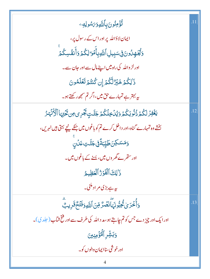| ثُؤُمِنُونَ بِأَللَّهِوَىَسُولِهِے                                                          |     |
|---------------------------------------------------------------------------------------------|-----|
| ایمان لاؤاللہ پر اور اس کے رسول پر،                                                         |     |
| وَيُّبَهِنُونَ فِىسَبِيلِ ٱللَّهِبِأَمُوَ لِكُمْ وَأَنفُسِكُمْ                              |     |
| اور لڑ واللہ کی راہ میں اپنے مال سے اور حان سے۔                                             |     |
| ذَٰلِكُمۡ خَيۡرٌ لَّكُمۡ إِن كُنتُمۡ تَعۡلَمُونَ                                            |     |
| یہ بہتر ہے تمہارے حق میں،اگر تم سمجھ رکھتے ہو۔                                              |     |
| يَغۡفِرۡ لَكُمۡ ذُٰنُوبَكُمۡ وَيُٰلۡخِلۡكُمۡ جَنَّـٰتٍ بَجۡرِى مِن تَحۡيۡمَاۚ ٱلۡأَنۡهَٰـرُ | .12 |
| بخشے وہ تمہارے گناہ،اور داخل کرے تم کو باغوں میں جنکے نیچے بہتی ہیں نہریں،                  |     |
| <mark>ٟ</mark> ۏؘۺٮڮڽؘڟێۣڹ <i>ۊٞٙ</i> ڣۣۥۼ <i>ٿٙ</i> ؾؚڠڷڹۣ                                 |     |
| اور ست <sub>قر سے</sub> گھر وں <b>می</b> ں، یسنے کے باغوں <b>می</b> ں۔                      |     |
| ذَٰ لِكَ ٱلْفَوۡرُ ٱلۡعَظِيمُ                                                               |     |
| ىيە ہے بڑى مراد ملنى۔                                                                       |     |
| ؚ<br>وَأَخۡدَىٰ ۡكُتِبُّونَہَۖانۡصَٰرُّ مِّنَ ٱللَّٰٓءِوَفَتَۡحٌ قَرِیبٌ                    | .13 |
| اور ایک اور چیز دے جس کوتم چاہتے ہو، مد د اللہ کی طرف سے اور فتح شاب ( حلد ی)۔              |     |
| وَبَشِّرِ ٱلۡكُؤۡمِنِينَ                                                                    |     |
| اور خو شي ساايمان والوں کو۔                                                                 |     |
|                                                                                             |     |